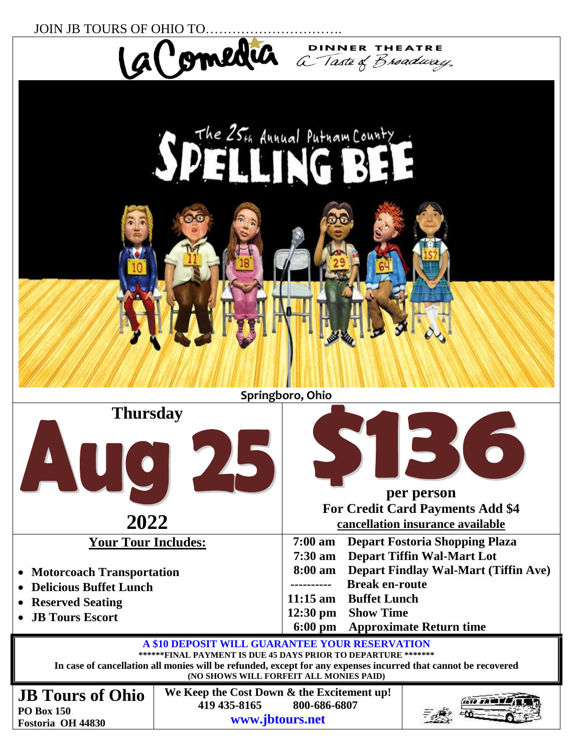